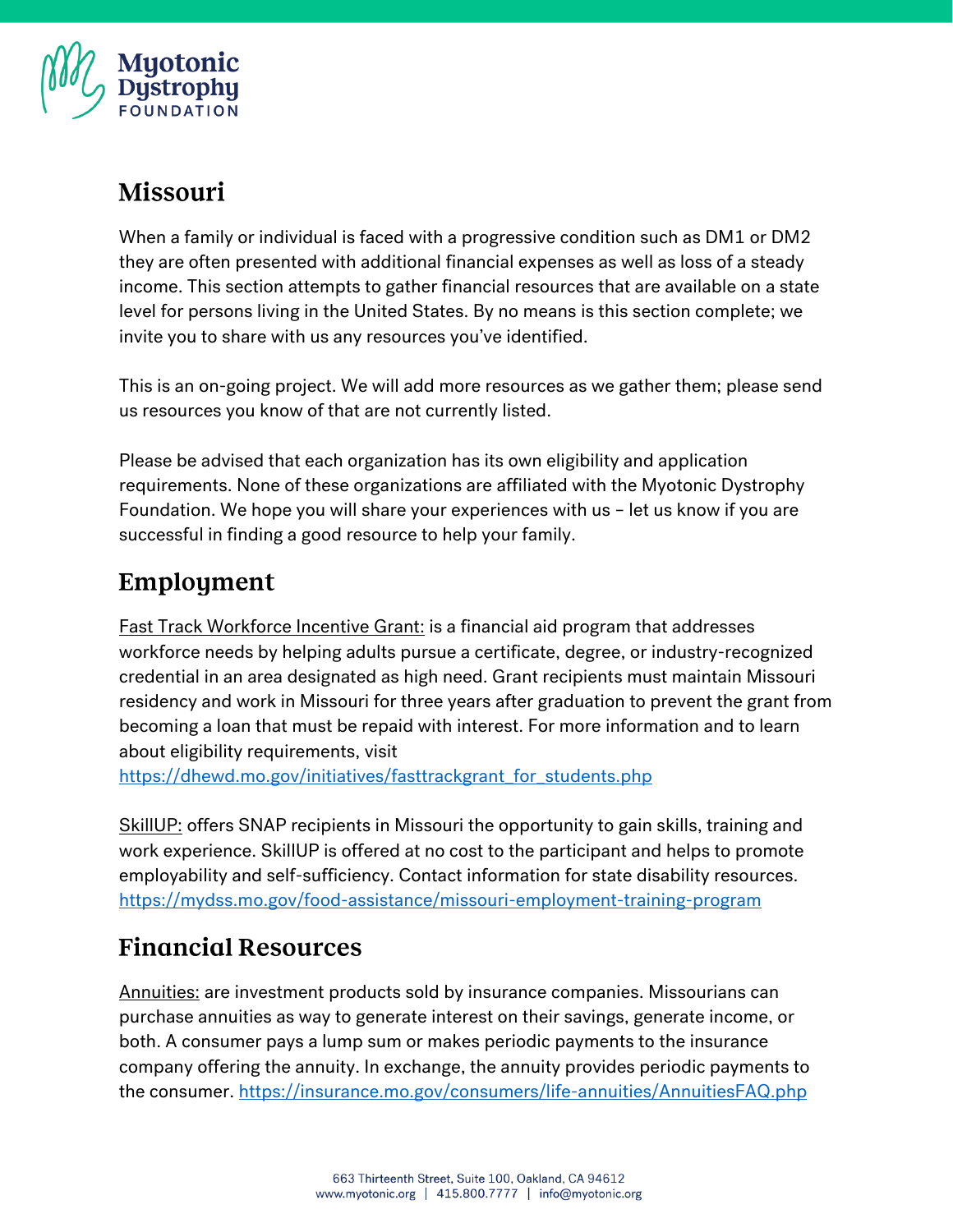

### Missouri

When a family or individual is faced with a progressive condition such as DM1 or DM2 they are often presented with additional financial expenses as well as loss of a steady income. This section attempts to gather financial resources that are available on a state level for persons living in the United States. By no means is this section complete; we invite you to share with us any resources you've identified.

This is an on-going project. We will add more resources as we gather them; please send us resources you know of that are not currently listed.

Please be advised that each organization has its own eligibility and application requirements. None of these organizations are affiliated with the Myotonic Dystrophy Foundation. We hope you will share your experiences with us – let us know if you are successful in finding a good resource to help your family.

# Employment

Fast Track Workforce Incentive Grant: is a financial aid program that addresses workforce needs by helping adults pursue a certificate, degree, or industry-recognized credential in an area designated as high need. Grant recipients must maintain Missouri residency and work in Missouri for three years after graduation to prevent the grant from becoming a loan that must be repaid with interest. For more information and to learn about eligibility requirements, visit

[https://dhewd.mo.gov/initiatives/fasttrackgrant\\_for\\_students.php](https://dhewd.mo.gov/initiatives/fasttrackgrant_for_students.php)

SkillUP: offers SNAP recipients in Missouri the opportunity to gain skills, training and work experience. SkillUP is offered at no cost to the participant and helps to promote employability and self-sufficiency. Contact information for state disability resources. <https://mydss.mo.gov/food-assistance/missouri-employment-training-program>

# **Financial Resources**

Annuities: are investment products sold by insurance companies. Missourians can purchase annuities as way to generate interest on their savings, generate income, or both. A consumer pays a lump sum or makes periodic payments to the insurance company offering the annuity. In exchange, the annuity provides periodic payments to the consumer.<https://insurance.mo.gov/consumers/life-annuities/AnnuitiesFAQ.php>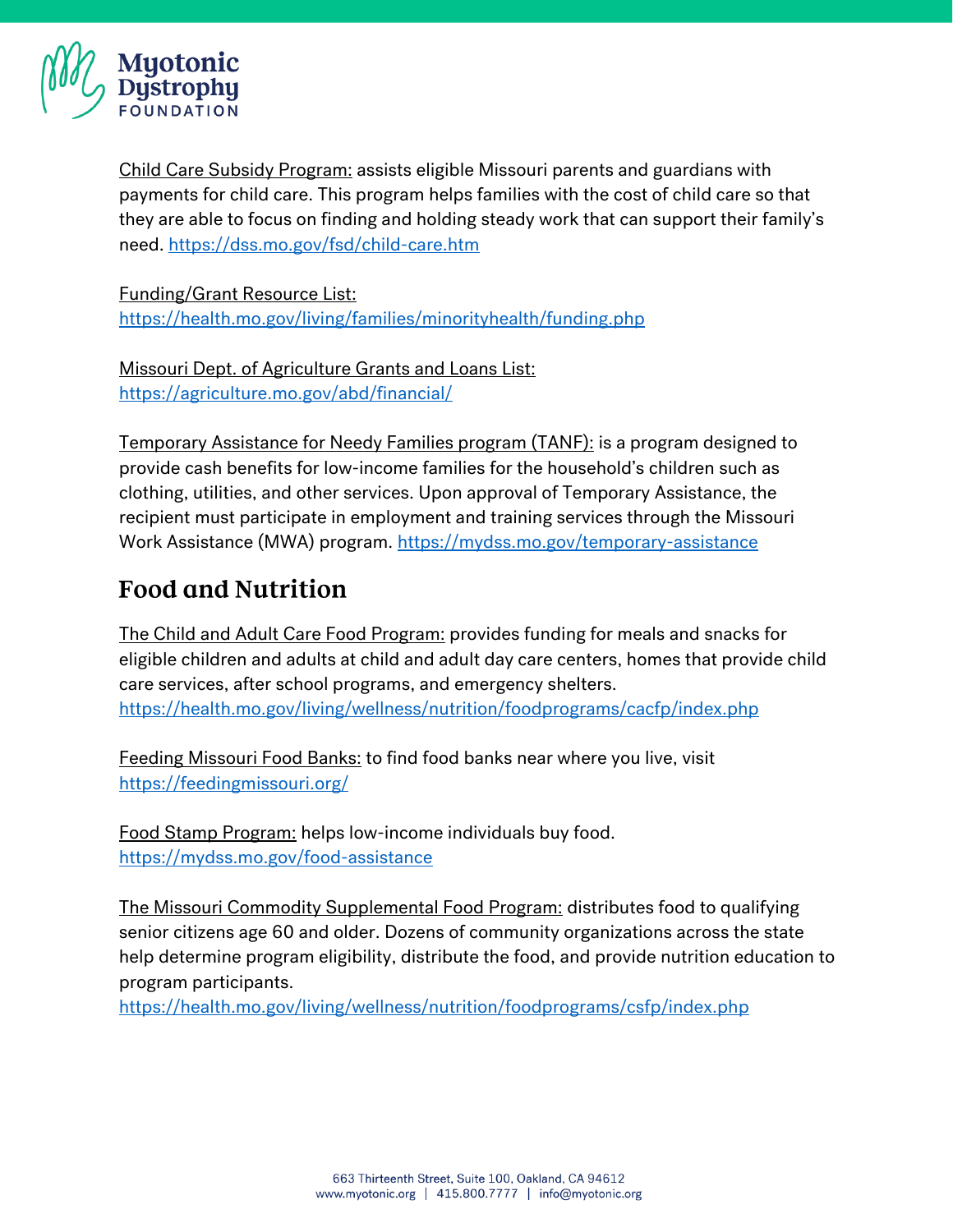

Child Care Subsidy Program: assists eligible Missouri parents and guardians with payments for child care. This program helps families with the cost of child care so that they are able to focus on finding and holding steady work that can support their family's need.<https://dss.mo.gov/fsd/child-care.htm>

Funding/Grant Resource List:

<https://health.mo.gov/living/families/minorityhealth/funding.php>

Missouri Dept. of Agriculture Grants and Loans List: <https://agriculture.mo.gov/abd/financial/>

Temporary Assistance for Needy Families program (TANF): is a program designed to provide cash benefits for low-income families for the household's children such as clothing, utilities, and other services. Upon approval of Temporary Assistance, the recipient must participate in employment and training services through the Missouri Work Assistance (MWA) program.<https://mydss.mo.gov/temporary-assistance>

## **Food and Nutrition**

The Child and Adult Care Food Program: provides funding for meals and snacks for eligible children and adults at child and adult day care centers, homes that provide child care services, after school programs, and emergency shelters. <https://health.mo.gov/living/wellness/nutrition/foodprograms/cacfp/index.php>

Feeding Missouri Food Banks: to find food banks near where you live, visit <https://feedingmissouri.org/>

Food Stamp Program: helps low-income individuals buy food. <https://mydss.mo.gov/food-assistance>

The Missouri Commodity Supplemental Food Program: distributes food to qualifying senior citizens age 60 and older. Dozens of community organizations across the state help determine program eligibility, distribute the food, and provide nutrition education to program participants.

<https://health.mo.gov/living/wellness/nutrition/foodprograms/csfp/index.php>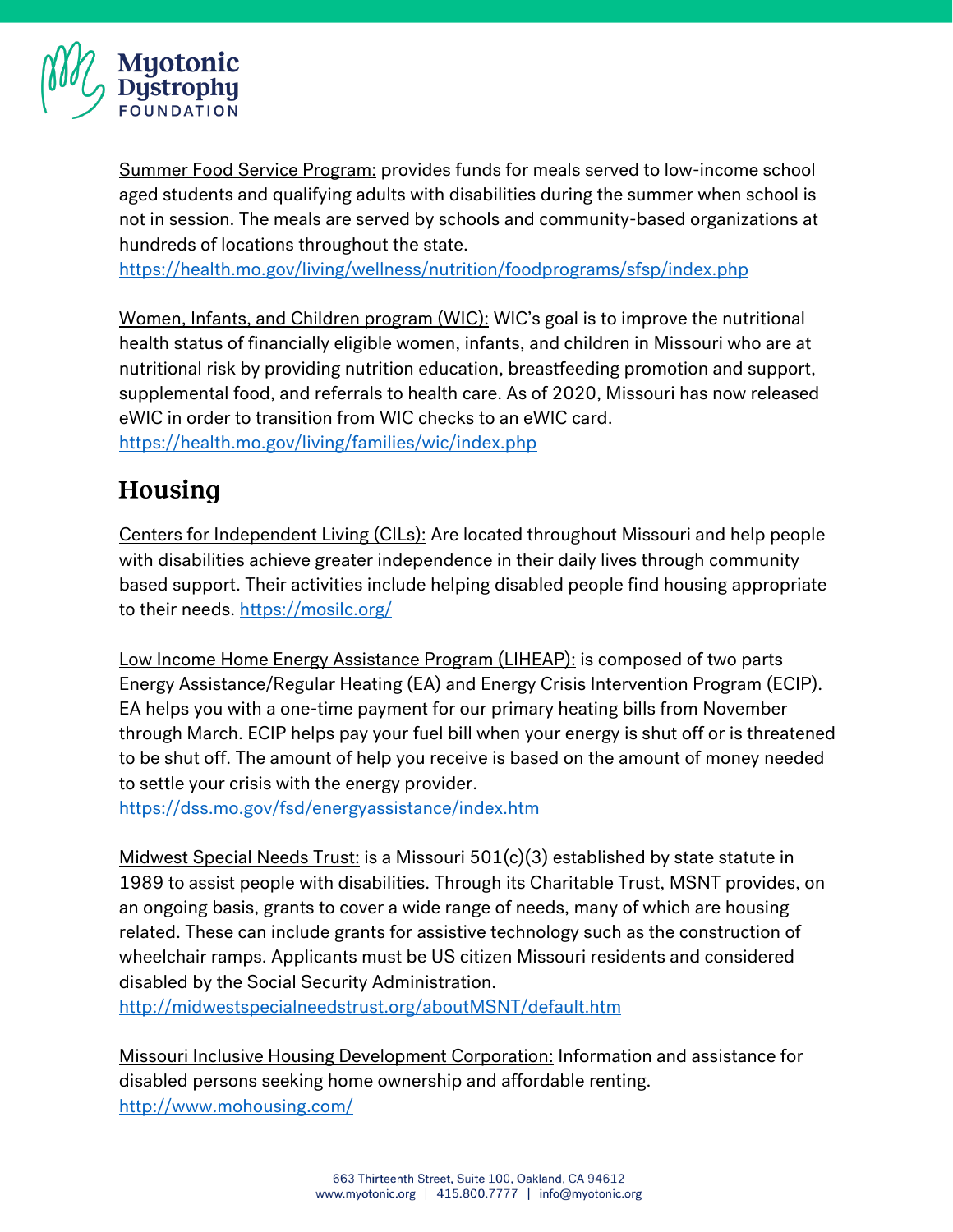

Summer Food Service Program: provides funds for meals served to low-income school aged students and qualifying adults with disabilities during the summer when school is not in session. The meals are served by schools and community-based organizations at hundreds of locations throughout the state.

<https://health.mo.gov/living/wellness/nutrition/foodprograms/sfsp/index.php>

Women, Infants, and Children program (WIC): WIC's goal is to improve the nutritional health status of financially eligible women, infants, and children in Missouri who are at nutritional risk by providing nutrition education, breastfeeding promotion and support, supplemental food, and referrals to health care. As of 2020, Missouri has now released eWIC in order to transition from WIC checks to an eWIC card. <https://health.mo.gov/living/families/wic/index.php>

### Housing

Centers for Independent Living (CILs): Are located throughout Missouri and help people with disabilities achieve greater independence in their daily lives through community based support. Their activities include helping disabled people find housing appropriate to their needs.<https://mosilc.org/>

Low Income Home Energy Assistance Program (LIHEAP): is composed of two parts Energy Assistance/Regular Heating (EA) and Energy Crisis Intervention Program (ECIP). EA helps you with a one-time payment for our primary heating bills from November through March. ECIP helps pay your fuel bill when your energy is shut off or is threatened to be shut off. The amount of help you receive is based on the amount of money needed to settle your crisis with the energy provider.

<https://dss.mo.gov/fsd/energyassistance/index.htm>

Midwest Special Needs Trust: is a Missouri  $501(c)(3)$  established by state statute in 1989 to assist people with disabilities. Through its Charitable Trust, MSNT provides, on an ongoing basis, grants to cover a wide range of needs, many of which are housing related. These can include grants for assistive technology such as the construction of wheelchair ramps. Applicants must be US citizen Missouri residents and considered disabled by the Social Security Administration.

<http://midwestspecialneedstrust.org/aboutMSNT/default.htm>

Missouri Inclusive Housing Development Corporation: Information and assistance for disabled persons seeking home ownership and affordable renting. <http://www.mohousing.com/>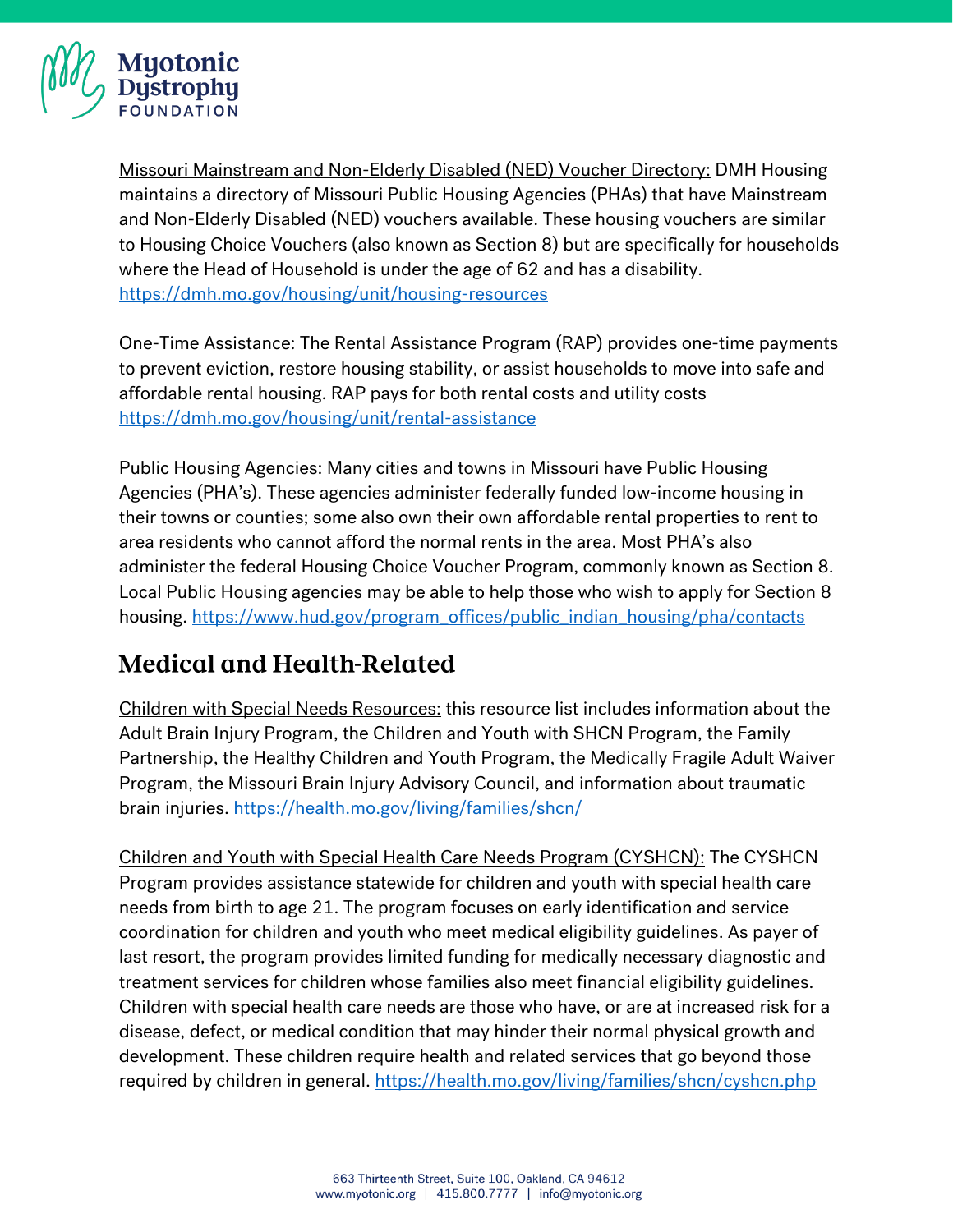

Missouri Mainstream and Non-Elderly Disabled (NED) Voucher Directory: DMH Housing maintains a directory of Missouri Public Housing Agencies (PHAs) that have Mainstream and Non-Elderly Disabled (NED) vouchers available. These housing vouchers are similar to Housing Choice Vouchers (also known as Section 8) but are specifically for households where the Head of Household is under the age of 62 and has a disability. <https://dmh.mo.gov/housing/unit/housing-resources>

One-Time Assistance: The Rental Assistance Program (RAP) provides one-time payments to prevent eviction, restore housing stability, or assist households to move into safe and affordable rental housing. RAP pays for both rental costs and utility costs <https://dmh.mo.gov/housing/unit/rental-assistance>

Public Housing Agencies: Many cities and towns in Missouri have Public Housing Agencies (PHA's). These agencies administer federally funded low-income housing in their towns or counties; some also own their own affordable rental properties to rent to area residents who cannot afford the normal rents in the area. Most PHA's also administer the federal Housing Choice Voucher Program, commonly known as Section 8. Local Public Housing agencies may be able to help those who wish to apply for Section 8 housing. [https://www.hud.gov/program\\_offices/public\\_indian\\_housing/pha/contacts](https://www.hud.gov/program_offices/public_indian_housing/pha/contacts)

# **Medical and Health-Related**

Children with Special Needs Resources: this resource list includes information about the Adult Brain Injury Program, the Children and Youth with SHCN Program, the Family Partnership, the Healthy Children and Youth Program, the Medically Fragile Adult Waiver Program, the Missouri Brain Injury Advisory Council, and information about traumatic brain injuries.<https://health.mo.gov/living/families/shcn/>

Children and Youth with Special Health Care Needs Program (CYSHCN): The CYSHCN Program provides assistance statewide for children and youth with special health care needs from birth to age 21. The program focuses on early identification and service coordination for children and youth who meet medical eligibility guidelines. As payer of last resort, the program provides limited funding for medically necessary diagnostic and treatment services for children whose families also meet financial eligibility guidelines. Children with special health care needs are those who have, or are at increased risk for a disease, defect, or medical condition that may hinder their normal physical growth and development. These children require health and related services that go beyond those required by children in general.<https://health.mo.gov/living/families/shcn/cyshcn.php>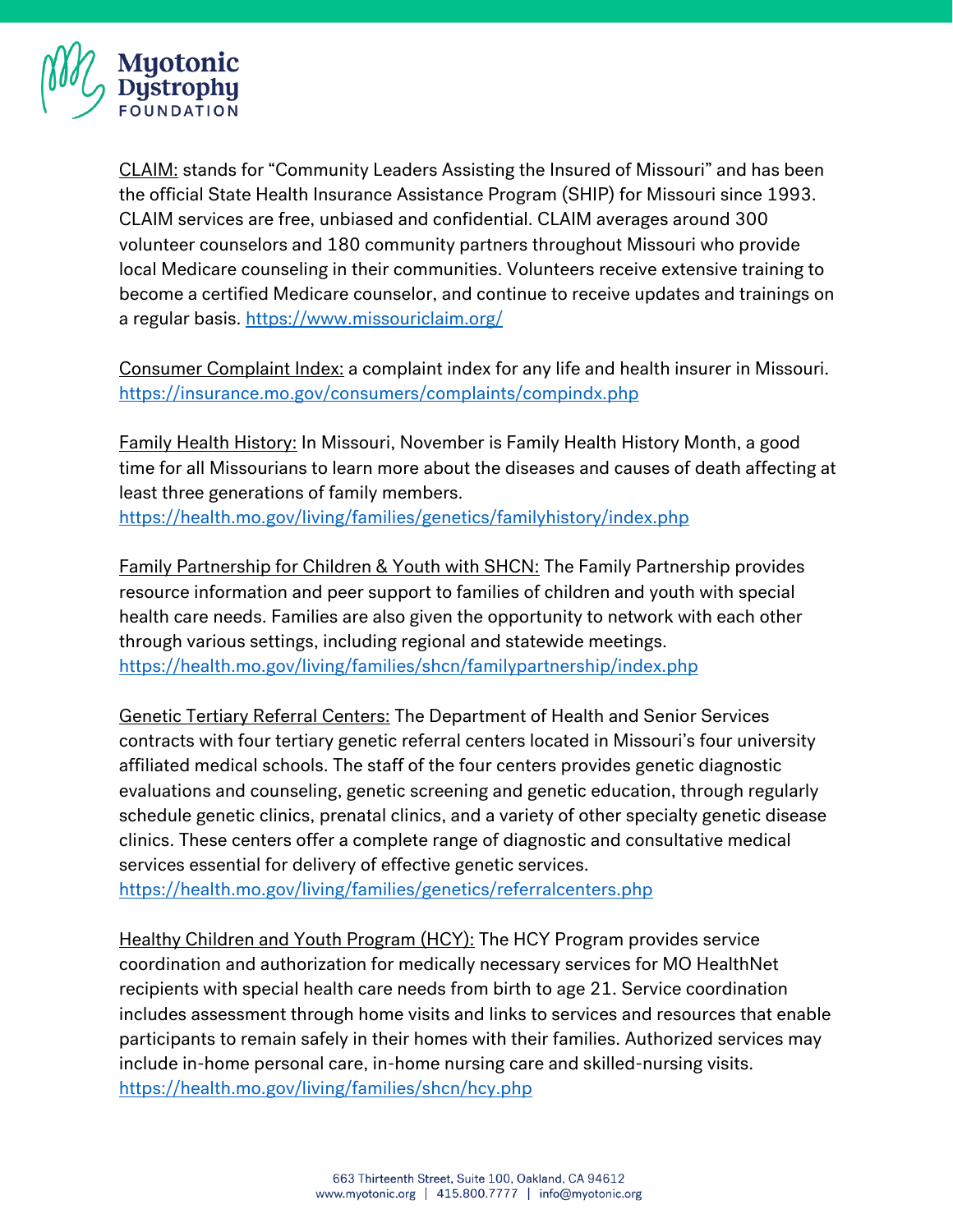

CLAIM: stands for "Community Leaders Assisting the Insured of Missouri" and has been the official State Health Insurance Assistance Program (SHIP) for Missouri since 1993. CLAIM services are free, unbiased and confidential. CLAIM averages around 300 volunteer counselors and 180 community partners throughout Missouri who provide local Medicare counseling in their communities. Volunteers receive extensive training to become a certified Medicare counselor, and continue to receive updates and trainings on a regular basis.<https://www.missouriclaim.org/>

Consumer Complaint Index: a complaint index for any life and health insurer in Missouri. <https://insurance.mo.gov/consumers/complaints/compindx.php>

Family Health History: In Missouri, November is Family Health History Month, a good time for all Missourians to learn more about the diseases and causes of death affecting at least three generations of family members. <https://health.mo.gov/living/families/genetics/familyhistory/index.php>

Family Partnership for Children & Youth with SHCN: The Family Partnership provides resource information and peer support to families of children and youth with special health care needs. Families are also given the opportunity to network with each other through various settings, including regional and statewide meetings. <https://health.mo.gov/living/families/shcn/familypartnership/index.php>

Genetic Tertiary Referral Centers: The Department of Health and Senior Services contracts with four tertiary genetic referral centers located in Missouri's four university affiliated medical schools. The staff of the four centers provides genetic diagnostic evaluations and counseling, genetic screening and genetic education, through regularly schedule genetic clinics, prenatal clinics, and a variety of other specialty genetic disease clinics. These centers offer a complete range of diagnostic and consultative medical services essential for delivery of effective genetic services.

<https://health.mo.gov/living/families/genetics/referralcenters.php>

Healthy Children and Youth Program (HCY): The HCY Program provides service coordination and authorization for medically necessary services for MO HealthNet recipients with special health care needs from birth to age 21. Service coordination includes assessment through home visits and links to services and resources that enable participants to remain safely in their homes with their families. Authorized services may include in-home personal care, in-home nursing care and skilled-nursing visits. <https://health.mo.gov/living/families/shcn/hcy.php>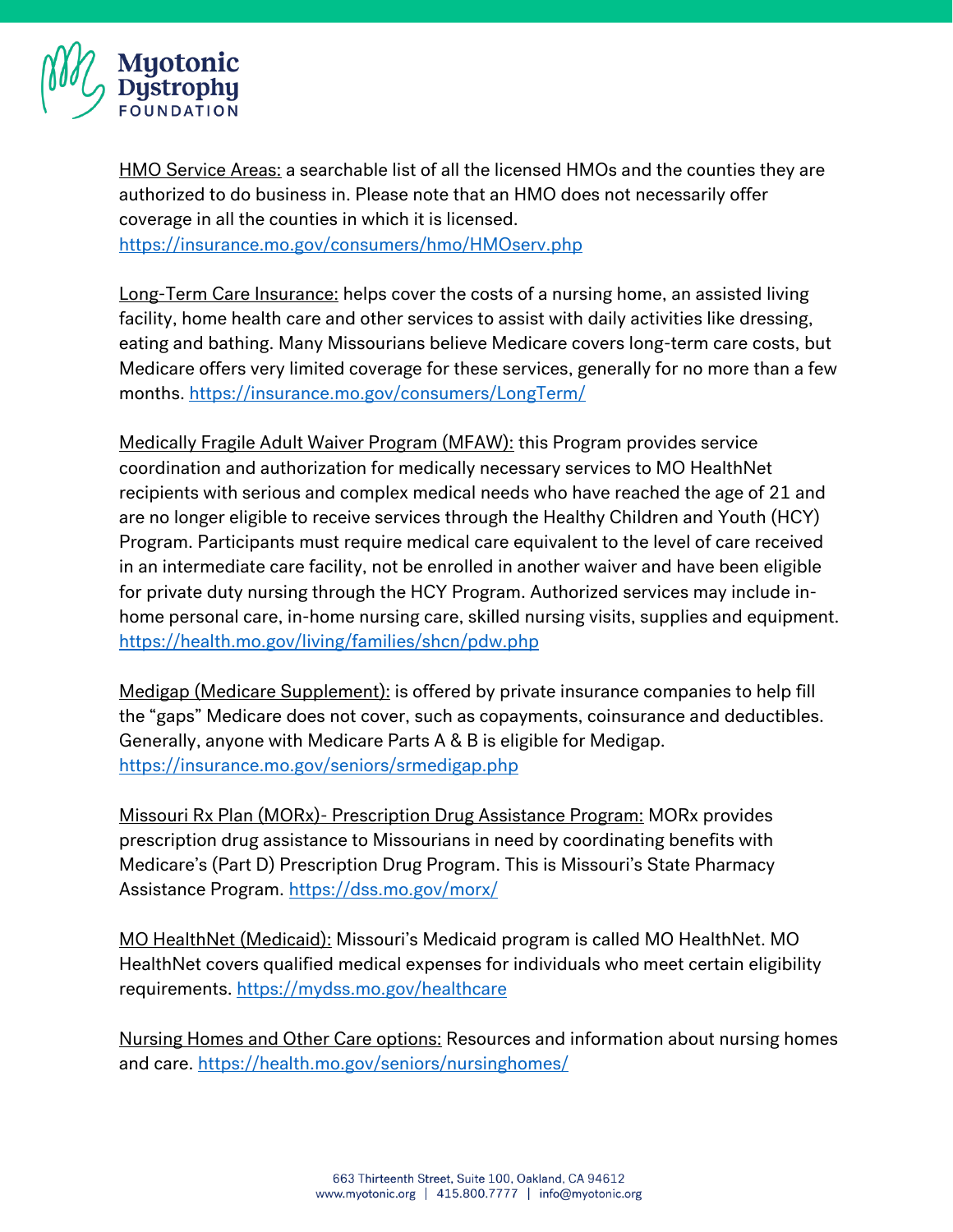

HMO Service Areas: a searchable list of all the licensed HMOs and the counties they are authorized to do business in. Please note that an HMO does not necessarily offer coverage in all the counties in which it is licensed.

<https://insurance.mo.gov/consumers/hmo/HMOserv.php>

Long-Term Care Insurance: helps cover the costs of a nursing home, an assisted living facility, home health care and other services to assist with daily activities like dressing, eating and bathing. Many Missourians believe Medicare covers long-term care costs, but Medicare offers very limited coverage for these services, generally for no more than a few months.<https://insurance.mo.gov/consumers/LongTerm/>

Medically Fragile Adult Waiver Program (MFAW): this Program provides service coordination and authorization for medically necessary services to MO HealthNet recipients with serious and complex medical needs who have reached the age of 21 and are no longer eligible to receive services through the Healthy Children and Youth (HCY) Program. Participants must require medical care equivalent to the level of care received in an intermediate care facility, not be enrolled in another waiver and have been eligible for private duty nursing through the HCY Program. Authorized services may include inhome personal care, in-home nursing care, skilled nursing visits, supplies and equipment. <https://health.mo.gov/living/families/shcn/pdw.php>

Medigap (Medicare Supplement): is offered by private insurance companies to help fill the "gaps" Medicare does not cover, such as copayments, coinsurance and deductibles. Generally, anyone with Medicare Parts A & B is eligible for Medigap. <https://insurance.mo.gov/seniors/srmedigap.php>

Missouri Rx Plan (MORx)- Prescription Drug Assistance Program: MORx provides prescription drug assistance to Missourians in need by coordinating benefits with Medicare's (Part D) Prescription Drug Program. This is Missouri's State Pharmacy Assistance Program.<https://dss.mo.gov/morx/>

MO HealthNet (Medicaid): Missouri's Medicaid program is called MO HealthNet. MO HealthNet covers qualified medical expenses for individuals who meet certain eligibility requirements.<https://mydss.mo.gov/healthcare>

Nursing Homes and Other Care options: Resources and information about nursing homes and care.<https://health.mo.gov/seniors/nursinghomes/>